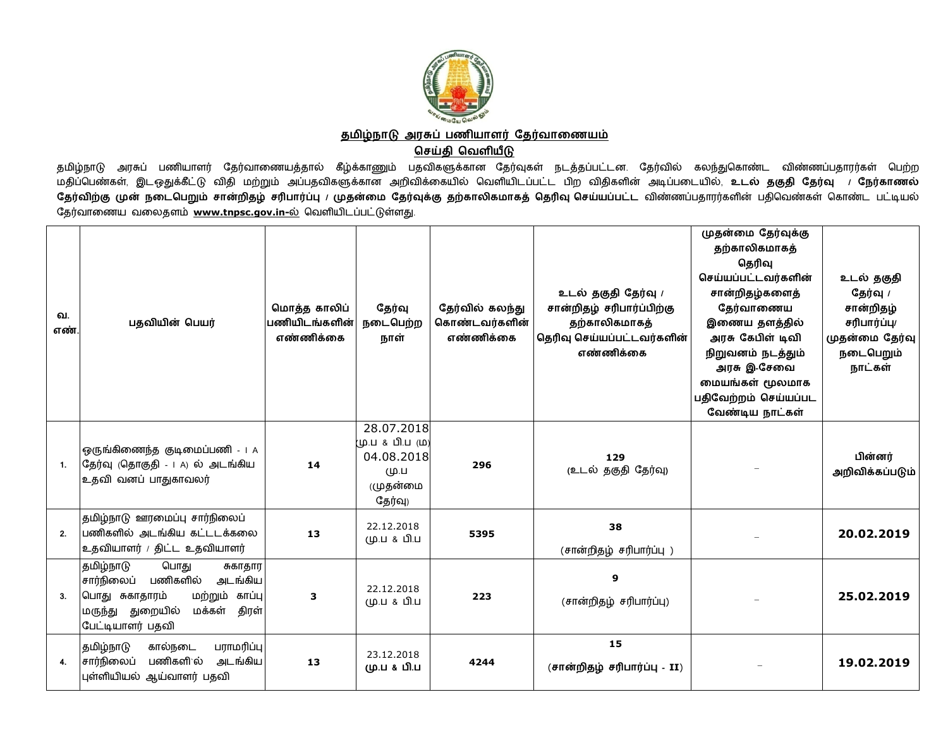

தமிழ்நாடு அரசுப் பணியாளர் தேர்வாணையம்

## **ெசதி ெவளய**

தமிழ்நாடு அரசுப் பணியாளர் தேர்வாணையத்தால் கீழ்க்காணும் பதவிகளுக்கான தேர்வுகள் நடத்தப்பட்டன. தேர்வில் கலந்துகொண்ட விண்ணப்பதாரர்கள் பெற்ற<br>முதிப்பெண்டன் இடவாக்கீட்டு விட மற்றும் ஆய்யாவொனக்கான அலிவிக்காயில் வெணிய பிற விங்கனின மதிப்பெண்கள், இடஒதுக்கீட்டு விதி மற்றும் அப்பதவிகளுக்கான அறிவிக்கையில் வெளியிடப்பட்ட பிற விதிகளின் அடிப்படையில், உடல் தகுதி தேர்வு *ட்*நேர்காணல் <mark>தேர்விற்கு முன் நடைபெறும் சான்றிதழ் சரிபார்ப்பு / முதன்மை தேர்வுக்கு தற்காலிகமாகத் தெரிவு செய்யப்பட்ட விண்ணப்பதாரர்களின் பதிவெண்கள் கொண்ட பட்டியல்</mark> தேர்வாணைய வலைதளம் www.tnpsc.gov.in-ல் வெளியிடப்பட்டுள்ளது.

| வ.<br>எண். | பதவியின் பெயர்                                                                                                                                                   | மொத்த காலிப்<br>பணியிடங்களின்<br>எண்ணிக்கை | தேர்வு<br>நடைபெற்ற<br>நாள்                                                   | தேர்வில் கலந்து<br>கொண்டவர்களின்<br>எண்ணிக்கை | உடல் தகுதி தேர்வு /<br>சான்றிதழ் சரிபார்ப்பிற்கு<br>தற்காலிகமாகத்<br>தெரிவு செய்யப்பட்டவர்களின்<br>எண்ணிக்கை | முதன்மை தேர்வுக்கு<br>தற்காலிகமாகத்<br>தெரிவு<br>செய்யப்பட்டவர்களின்<br>சான்றிதழ்களைத்<br>தேர்வாணைய<br>இணைய தளத்தில்<br>அரசு கேபிள் டிவி<br>நிறுவனம் நடத்தும்<br>அரசு இ-சேவை<br>மையங்கள் மூலமாக<br>பதிவேற்றம் செய்யப்பட<br>வேண்டிய நாட்கள் | உடல் தகுதி<br>தேர்வு /<br>சான்றிதழ்<br>சரிபார்ப்பு/<br>முதன்மை தேர்வு<br>நடைபெறும்<br>நாட்கள் |
|------------|------------------------------------------------------------------------------------------------------------------------------------------------------------------|--------------------------------------------|------------------------------------------------------------------------------|-----------------------------------------------|--------------------------------------------------------------------------------------------------------------|--------------------------------------------------------------------------------------------------------------------------------------------------------------------------------------------------------------------------------------------|-----------------------------------------------------------------------------------------------|
| 1.         | ஒருங்கிணைந்த குடிமைப்பணி - 1 A<br>தேர்வு (தொகுதி - 1 A) ல் அடங்கிய<br>உதவி வனப் பாதுகாவலர்                                                                       | 14                                         | 28.07.2018<br>(ம.ப & பி.ப (ம)<br>04.08.2018<br>(10.1)<br>(முதன்மை<br>தேர்வு) | 296                                           | 129<br>(உடல் தகுதி தேர்வு)                                                                                   |                                                                                                                                                                                                                                            | பின்னர்<br>அறிவிக்கப்படும்                                                                    |
| 2.         | தமிழ்நாடு ஊரமைப்பு சார்நிலைப்<br>பணிகளில் அடங்கிய கட்டடக்கலை<br>உதவியாளர் / திட்ட உதவியாளர்                                                                      | 13                                         | 22.12.2018<br>மு.ப & பி.ப                                                    | 5395                                          | 38<br>(சான்றிதழ் சரிபார்ப்பு )                                                                               |                                                                                                                                                                                                                                            | 20.02.2019                                                                                    |
| 3.         | தமிழ்நாடு<br>பொது<br>சுகாதார<br>சார்நிலைப்<br>பணிகளில்<br>அடங்கிய<br>பொது சுகாதாரம்<br>மற்றும் காப்பு<br>மருந்து துறையில்<br>திரள்<br>மக்கள்<br>பேட்டியாளர் பதவி | 3                                          | 22.12.2018<br>மு.ப & பி.ப                                                    | 223                                           | 9<br>(சான்றிதழ் சரிபார்ப்பு)                                                                                 |                                                                                                                                                                                                                                            | 25.02.2019                                                                                    |
| 4.         | பராமரிப்பு<br>தமிழ்நாடு<br>கால்நடை<br>பணிகளி`ல்<br>சார்நிலைப்<br>அடங்கிய<br>புள்ளியியல் ஆய்வாளர் பதவி                                                            | 13                                         | 23.12.2018<br>மு.ப & பி.ப                                                    | 4244                                          | 15<br>(சான்றிதழ் சரிபார்ப்பு - II)                                                                           |                                                                                                                                                                                                                                            | 19.02.2019                                                                                    |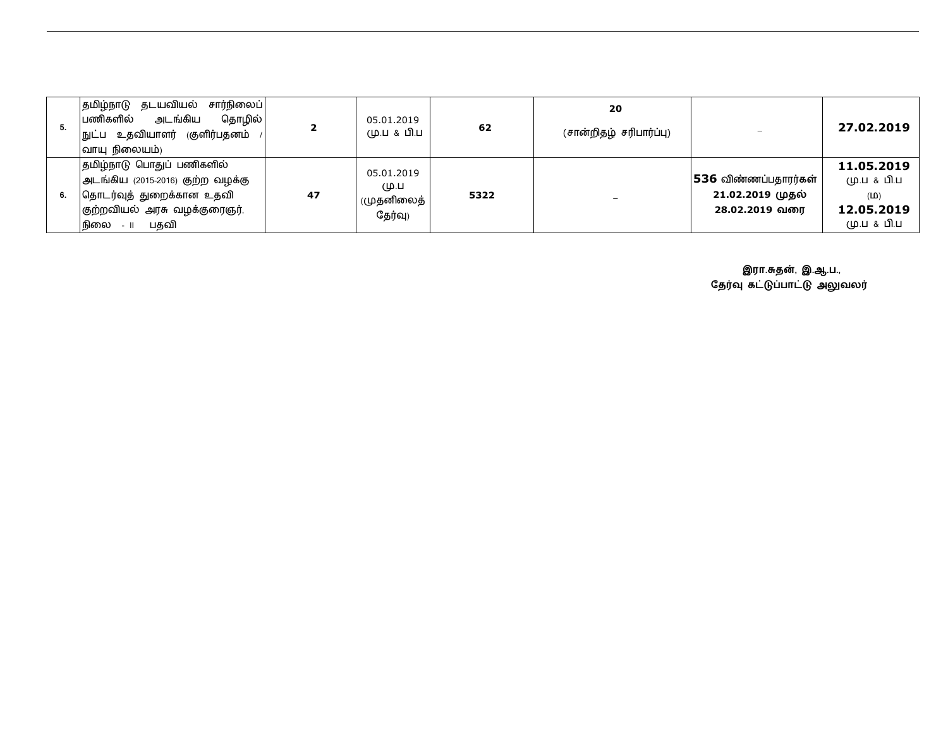| சார்நிலைப்<br> தமிழ்நாடு தடயவியல்<br>அடங்கிய<br>தொழில் <br>பணிகளில்<br>நுட்ப உதவியாளர் (குளிர்பதனம்<br>வாயு நிலையம்)                           |    | 05.01.2019<br>மு.ப & பி.ப                     | 62   | 20<br>(சான்றிதழ் சரிபார்ப்பு) |                                                            | 27.02.2019                                                    |
|------------------------------------------------------------------------------------------------------------------------------------------------|----|-----------------------------------------------|------|-------------------------------|------------------------------------------------------------|---------------------------------------------------------------|
| தமிழ்நாடு பொதுப் பணிகளில்<br>அடங்கிய (2015-2016) குற்ற வழக்கு<br>கொடர்வுத் துறைக்கான உதவி<br>குற்றவியல் அரசு வழக்குரைஞர்,<br>பகவி<br>நிலை - 11 | 47 | 05.01.2019<br>(10.1)<br>(முதனிலைத்<br>தேர்வு) | 5322 |                               | 536 விண்ணப்பதாரர்கள்<br>21.02.2019 முதல்<br>28.02.2019 வரை | 11.05.2019<br>மு.ப & பி.ப<br>(D)<br>12.05.2019<br>(ம.ப & பி.ப |

**இரா.த%, இ.ஆ.ப.,** தேர்வு கட்டுப்பாட்டு அலுவலர்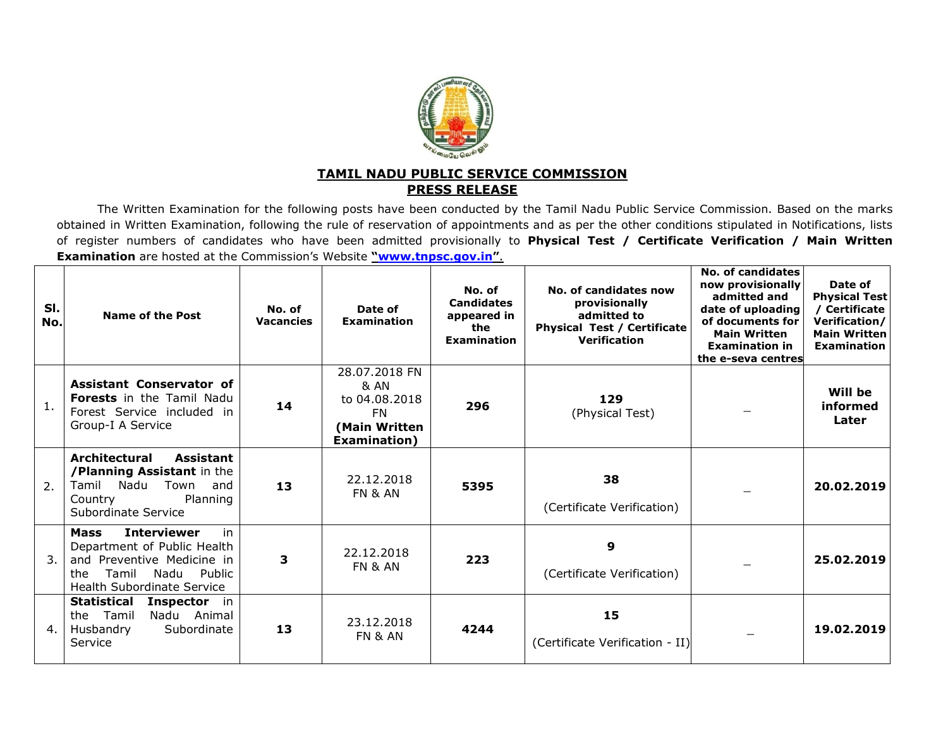

## **TAMIL NADU PUBLIC SERVICE COMMISSIONPRESS RELEASE**

 The Written Examination for the following posts have been conducted by the Tamil Nadu Public Service Commission. Based on the marks obtained in Written Examination, following the rule of reservation of appointments and as per the other conditions stipulated in Notifications, lists of register numbers of candidates who have been admitted provisionally to **Physical Test / Certificate Verification / Main Written Examination** are hosted at the Commission's Website **"www.tnpsc.gov.in"**.

| SI.<br>No.      | Name of the Post                                                                                                                                                             | No. of<br><b>Vacancies</b> | Date of<br><b>Examination</b>                                                          | No. of<br><b>Candidates</b><br>appeared in<br>the<br><b>Examination</b> | No. of candidates now<br>provisionally<br>admitted to<br><b>Physical Test / Certificate</b><br><b>Verification</b> | No. of candidates<br>now provisionally<br>admitted and<br>date of uploading<br>of documents for<br><b>Main Written</b><br><b>Examination in</b><br>the e-seva centres | Date of<br><b>Physical Test</b><br>/ Certificate<br>Verification/<br><b>Main Written</b><br><b>Examination</b> |
|-----------------|------------------------------------------------------------------------------------------------------------------------------------------------------------------------------|----------------------------|----------------------------------------------------------------------------------------|-------------------------------------------------------------------------|--------------------------------------------------------------------------------------------------------------------|-----------------------------------------------------------------------------------------------------------------------------------------------------------------------|----------------------------------------------------------------------------------------------------------------|
| 1.              | <b>Assistant Conservator of</b><br><b>Forests</b> in the Tamil Nadu<br>Forest Service included in<br>Group-I A Service                                                       | 14                         | 28.07.2018 FN<br>& AN<br>to 04.08.2018<br>FN.<br>(Main Written<br><b>Examination</b> ) | 296                                                                     | 129<br>(Physical Test)                                                                                             |                                                                                                                                                                       | Will be<br>informed<br>Later                                                                                   |
| $\mathcal{P}$ . | <b>Architectural</b><br>Assistant<br>/Planning Assistant in the<br>Tamil Nadu<br>Town<br>and<br>Planning<br>Country<br>Subordinate Service                                   | 13                         | 22.12.2018<br><b>FN &amp; AN</b>                                                       | 5395                                                                    | 38<br>(Certificate Verification)                                                                                   |                                                                                                                                                                       | 20.02.2019                                                                                                     |
| 3.              | <b>Interviewer</b><br>in<br><b>Mass</b><br>Department of Public Health<br>and Preventive Medicine in<br>Tamil<br>Public<br>Nadu<br>the.<br><b>Health Subordinate Service</b> | 3                          | 22.12.2018<br>FN & AN                                                                  | 223                                                                     | 9<br>(Certificate Verification)                                                                                    |                                                                                                                                                                       | 25.02.2019                                                                                                     |
| 4.              | Statistical<br>Inspector in<br>the Tamil<br>Nadu Animal<br>Subordinate<br>Husbandry<br>Service                                                                               | 13                         | 23.12.2018<br><b>FN &amp; AN</b>                                                       | 4244                                                                    | 15<br>(Certificate Verification - II)                                                                              |                                                                                                                                                                       | 19.02.2019                                                                                                     |